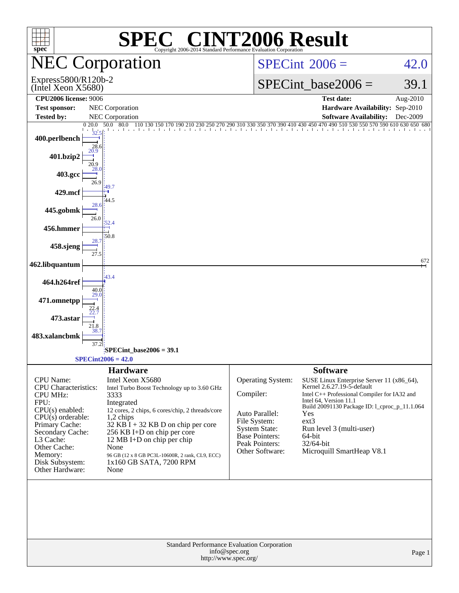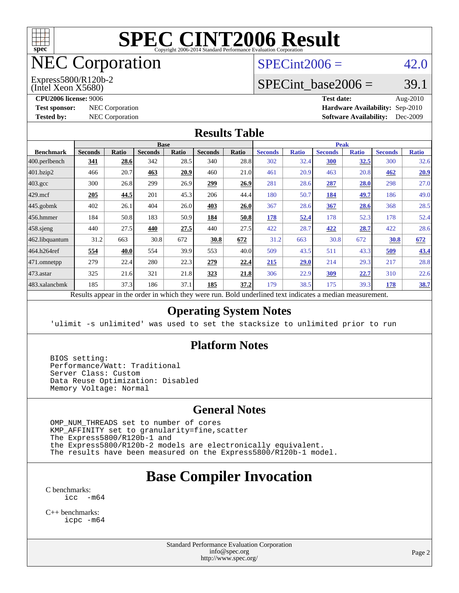

# NEC Corporation

(Intel Xeon X5680) Express5800/R120b-2  $SPECint2006 = 42.0$  $SPECint2006 = 42.0$ 

# SPECint base2006 =  $39.1$

**[CPU2006 license:](http://www.spec.org/auto/cpu2006/Docs/result-fields.html#CPU2006license)** 9006 **[Test date:](http://www.spec.org/auto/cpu2006/Docs/result-fields.html#Testdate)** Aug-2010 **[Test sponsor:](http://www.spec.org/auto/cpu2006/Docs/result-fields.html#Testsponsor)** NEC Corporation **NEC Corporation [Hardware Availability:](http://www.spec.org/auto/cpu2006/Docs/result-fields.html#HardwareAvailability)** Sep-2010 **[Tested by:](http://www.spec.org/auto/cpu2006/Docs/result-fields.html#Testedby)** NEC Corporation **[Software Availability:](http://www.spec.org/auto/cpu2006/Docs/result-fields.html#SoftwareAvailability)** Dec-2009

#### **[Results Table](http://www.spec.org/auto/cpu2006/Docs/result-fields.html#ResultsTable)**

| <b>Base</b>    |       |                |              |                |              | <b>Peak</b>    |              |                |              |                |              |
|----------------|-------|----------------|--------------|----------------|--------------|----------------|--------------|----------------|--------------|----------------|--------------|
| <b>Seconds</b> | Ratio | <b>Seconds</b> | <b>Ratio</b> | <b>Seconds</b> | <b>Ratio</b> | <b>Seconds</b> | <b>Ratio</b> | <b>Seconds</b> | <b>Ratio</b> | <b>Seconds</b> | <b>Ratio</b> |
| 341            | 28.6  | 342            | 28.5         | 340            |              | 302            | 32.4         | 300            | <u>32.5</u>  | 300            | 32.6         |
| 466            | 20.7  | 463            | 20.9         | 460            | 21.0         | 461            | 20.9         | 463            | 20.8         | 462            | 20.9         |
| 300            | 26.8  | 299            | 26.9         | 299            | 26.9         | 281            |              | 287            | 28.0         | 298            | 27.0         |
| 205            | 44.5  | 201            | 45.3         | 206            | 44.4         | 180            | 50.7         | <b>184</b>     | <u>49.7</u>  | 186            | 49.0         |
| 402            | 26.1  | 404            | 26.0         | 403            | 26.0         | 367            | 28.6         | 367            | 28.6         | 368            | 28.5         |
| 184            | 50.8  | 183            | 50.9         | 184            | 50.8         | 178            | 52.4         | 178            | 52.3         | 178            | 52.4         |
| 440            | 27.5  | 440            | 27.5         | 440            | 27.5         | 422            | 28.7         | 422            | 28.7         | 422            | 28.6         |
| 31.2           | 663   | 30.8           | 672          | 30.8           | 672          | 31.2           | 663          | 30.8           | 672          | 30.8           | 672          |
| 554            | 40.0  | 554            | 39.9         | 553            | 40.0         | 509            | 43.5         | 511            | 43.3         | <u>509</u>     | 43.4         |
| 279            | 22.4  | 280            | 22.3         | 279            | 22.4         | 215            | 29.0         | 214            | 29.3         | 217            | 28.8         |
| 325            | 21.6  | 321            | 21.8         | 323            | 21.8         | 306            | 22.9         | <u>309</u>     | 22.7         | 310            | 22.6         |
| 185            | 37.3  | 186            | 37.1         | 185            | 37.2         | 179            |              | 175            | 39.3         | 178            | <u>38.7</u>  |
|                |       |                |              |                |              |                | 28.8         |                | 28.6<br>38.5 |                |              |

Results appear in the [order in which they were run.](http://www.spec.org/auto/cpu2006/Docs/result-fields.html#RunOrder) Bold underlined text [indicates a median measurement.](http://www.spec.org/auto/cpu2006/Docs/result-fields.html#Median)

#### **[Operating System Notes](http://www.spec.org/auto/cpu2006/Docs/result-fields.html#OperatingSystemNotes)**

'ulimit -s unlimited' was used to set the stacksize to unlimited prior to run

#### **[Platform Notes](http://www.spec.org/auto/cpu2006/Docs/result-fields.html#PlatformNotes)**

 BIOS setting: Performance/Watt: Traditional Server Class: Custom Data Reuse Optimization: Disabled Memory Voltage: Normal

#### **[General Notes](http://www.spec.org/auto/cpu2006/Docs/result-fields.html#GeneralNotes)**

 OMP\_NUM\_THREADS set to number of cores KMP\_AFFINITY set to granularity=fine,scatter The Express5800/R120b-1 and the Express5800/R120b-2 models are electronically equivalent. The results have been measured on the Express5800/R120b-1 model.

# **[Base Compiler Invocation](http://www.spec.org/auto/cpu2006/Docs/result-fields.html#BaseCompilerInvocation)**

[C benchmarks](http://www.spec.org/auto/cpu2006/Docs/result-fields.html#Cbenchmarks):  $inc - m64$ 

[C++ benchmarks:](http://www.spec.org/auto/cpu2006/Docs/result-fields.html#CXXbenchmarks) [icpc -m64](http://www.spec.org/cpu2006/results/res2010q3/cpu2006-20100910-13168.flags.html#user_CXXbase_intel_icpc_64bit_fc66a5337ce925472a5c54ad6a0de310)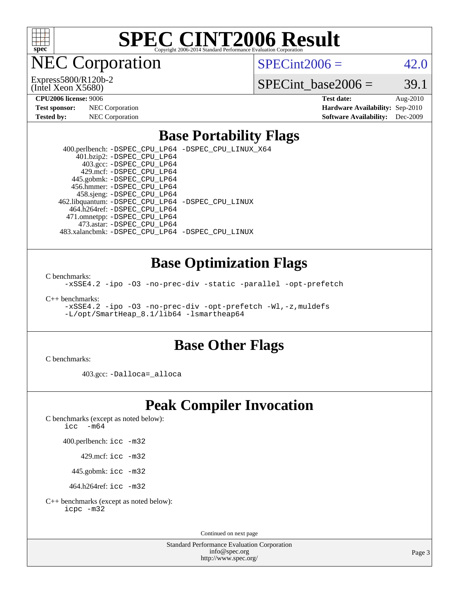

**EC Corporation** 

(Intel Xeon X5680) Express5800/R120b-2  $SPECint2006 = 42.0$  $SPECint2006 = 42.0$ 

SPECint base2006 =  $39.1$ 

| <b>Test sponsor:</b> | <b>NEC</b> Corporation |
|----------------------|------------------------|
| Tested by:           | <b>NEC</b> Corporation |

**[CPU2006 license:](http://www.spec.org/auto/cpu2006/Docs/result-fields.html#CPU2006license)** 9006 **[Test date:](http://www.spec.org/auto/cpu2006/Docs/result-fields.html#Testdate)** Aug-2010 **[Hardware Availability:](http://www.spec.org/auto/cpu2006/Docs/result-fields.html#HardwareAvailability)** Sep-2010 **[Software Availability:](http://www.spec.org/auto/cpu2006/Docs/result-fields.html#SoftwareAvailability)** Dec-2009

### **[Base Portability Flags](http://www.spec.org/auto/cpu2006/Docs/result-fields.html#BasePortabilityFlags)**

 400.perlbench: [-DSPEC\\_CPU\\_LP64](http://www.spec.org/cpu2006/results/res2010q3/cpu2006-20100910-13168.flags.html#b400.perlbench_basePORTABILITY_DSPEC_CPU_LP64) [-DSPEC\\_CPU\\_LINUX\\_X64](http://www.spec.org/cpu2006/results/res2010q3/cpu2006-20100910-13168.flags.html#b400.perlbench_baseCPORTABILITY_DSPEC_CPU_LINUX_X64) 401.bzip2: [-DSPEC\\_CPU\\_LP64](http://www.spec.org/cpu2006/results/res2010q3/cpu2006-20100910-13168.flags.html#suite_basePORTABILITY401_bzip2_DSPEC_CPU_LP64) 403.gcc: [-DSPEC\\_CPU\\_LP64](http://www.spec.org/cpu2006/results/res2010q3/cpu2006-20100910-13168.flags.html#suite_basePORTABILITY403_gcc_DSPEC_CPU_LP64) 429.mcf: [-DSPEC\\_CPU\\_LP64](http://www.spec.org/cpu2006/results/res2010q3/cpu2006-20100910-13168.flags.html#suite_basePORTABILITY429_mcf_DSPEC_CPU_LP64) 445.gobmk: [-DSPEC\\_CPU\\_LP64](http://www.spec.org/cpu2006/results/res2010q3/cpu2006-20100910-13168.flags.html#suite_basePORTABILITY445_gobmk_DSPEC_CPU_LP64) 456.hmmer: [-DSPEC\\_CPU\\_LP64](http://www.spec.org/cpu2006/results/res2010q3/cpu2006-20100910-13168.flags.html#suite_basePORTABILITY456_hmmer_DSPEC_CPU_LP64) 458.sjeng: [-DSPEC\\_CPU\\_LP64](http://www.spec.org/cpu2006/results/res2010q3/cpu2006-20100910-13168.flags.html#suite_basePORTABILITY458_sjeng_DSPEC_CPU_LP64) 462.libquantum: [-DSPEC\\_CPU\\_LP64](http://www.spec.org/cpu2006/results/res2010q3/cpu2006-20100910-13168.flags.html#suite_basePORTABILITY462_libquantum_DSPEC_CPU_LP64) [-DSPEC\\_CPU\\_LINUX](http://www.spec.org/cpu2006/results/res2010q3/cpu2006-20100910-13168.flags.html#b462.libquantum_baseCPORTABILITY_DSPEC_CPU_LINUX) 464.h264ref: [-DSPEC\\_CPU\\_LP64](http://www.spec.org/cpu2006/results/res2010q3/cpu2006-20100910-13168.flags.html#suite_basePORTABILITY464_h264ref_DSPEC_CPU_LP64) 471.omnetpp: [-DSPEC\\_CPU\\_LP64](http://www.spec.org/cpu2006/results/res2010q3/cpu2006-20100910-13168.flags.html#suite_basePORTABILITY471_omnetpp_DSPEC_CPU_LP64) 473.astar: [-DSPEC\\_CPU\\_LP64](http://www.spec.org/cpu2006/results/res2010q3/cpu2006-20100910-13168.flags.html#suite_basePORTABILITY473_astar_DSPEC_CPU_LP64) 483.xalancbmk: [-DSPEC\\_CPU\\_LP64](http://www.spec.org/cpu2006/results/res2010q3/cpu2006-20100910-13168.flags.html#suite_basePORTABILITY483_xalancbmk_DSPEC_CPU_LP64) [-DSPEC\\_CPU\\_LINUX](http://www.spec.org/cpu2006/results/res2010q3/cpu2006-20100910-13168.flags.html#b483.xalancbmk_baseCXXPORTABILITY_DSPEC_CPU_LINUX)

### **[Base Optimization Flags](http://www.spec.org/auto/cpu2006/Docs/result-fields.html#BaseOptimizationFlags)**

[C benchmarks](http://www.spec.org/auto/cpu2006/Docs/result-fields.html#Cbenchmarks):

[-xSSE4.2](http://www.spec.org/cpu2006/results/res2010q3/cpu2006-20100910-13168.flags.html#user_CCbase_f-xSSE42_f91528193cf0b216347adb8b939d4107) [-ipo](http://www.spec.org/cpu2006/results/res2010q3/cpu2006-20100910-13168.flags.html#user_CCbase_f-ipo) [-O3](http://www.spec.org/cpu2006/results/res2010q3/cpu2006-20100910-13168.flags.html#user_CCbase_f-O3) [-no-prec-div](http://www.spec.org/cpu2006/results/res2010q3/cpu2006-20100910-13168.flags.html#user_CCbase_f-no-prec-div) [-static](http://www.spec.org/cpu2006/results/res2010q3/cpu2006-20100910-13168.flags.html#user_CCbase_f-static) [-parallel](http://www.spec.org/cpu2006/results/res2010q3/cpu2006-20100910-13168.flags.html#user_CCbase_f-parallel) [-opt-prefetch](http://www.spec.org/cpu2006/results/res2010q3/cpu2006-20100910-13168.flags.html#user_CCbase_f-opt-prefetch)

[C++ benchmarks:](http://www.spec.org/auto/cpu2006/Docs/result-fields.html#CXXbenchmarks)

[-xSSE4.2](http://www.spec.org/cpu2006/results/res2010q3/cpu2006-20100910-13168.flags.html#user_CXXbase_f-xSSE42_f91528193cf0b216347adb8b939d4107) [-ipo](http://www.spec.org/cpu2006/results/res2010q3/cpu2006-20100910-13168.flags.html#user_CXXbase_f-ipo) [-O3](http://www.spec.org/cpu2006/results/res2010q3/cpu2006-20100910-13168.flags.html#user_CXXbase_f-O3) [-no-prec-div](http://www.spec.org/cpu2006/results/res2010q3/cpu2006-20100910-13168.flags.html#user_CXXbase_f-no-prec-div) [-opt-prefetch](http://www.spec.org/cpu2006/results/res2010q3/cpu2006-20100910-13168.flags.html#user_CXXbase_f-opt-prefetch) [-Wl,-z,muldefs](http://www.spec.org/cpu2006/results/res2010q3/cpu2006-20100910-13168.flags.html#user_CXXbase_link_force_multiple1_74079c344b956b9658436fd1b6dd3a8a) [-L/opt/SmartHeap\\_8.1/lib64 -lsmartheap64](http://www.spec.org/cpu2006/results/res2010q3/cpu2006-20100910-13168.flags.html#user_CXXbase_SmartHeap64_7ff9c3d8ca51c2767359d6aa2f519d77)

### **[Base Other Flags](http://www.spec.org/auto/cpu2006/Docs/result-fields.html#BaseOtherFlags)**

[C benchmarks](http://www.spec.org/auto/cpu2006/Docs/result-fields.html#Cbenchmarks):

403.gcc: [-Dalloca=\\_alloca](http://www.spec.org/cpu2006/results/res2010q3/cpu2006-20100910-13168.flags.html#b403.gcc_baseEXTRA_CFLAGS_Dalloca_be3056838c12de2578596ca5467af7f3)

# **[Peak Compiler Invocation](http://www.spec.org/auto/cpu2006/Docs/result-fields.html#PeakCompilerInvocation)**

[C benchmarks \(except as noted below\)](http://www.spec.org/auto/cpu2006/Docs/result-fields.html#Cbenchmarksexceptasnotedbelow):

[icc -m64](http://www.spec.org/cpu2006/results/res2010q3/cpu2006-20100910-13168.flags.html#user_CCpeak_intel_icc_64bit_f346026e86af2a669e726fe758c88044)

400.perlbench: [icc -m32](http://www.spec.org/cpu2006/results/res2010q3/cpu2006-20100910-13168.flags.html#user_peakCCLD400_perlbench_intel_icc_32bit_a6a621f8d50482236b970c6ac5f55f93)

429.mcf: [icc -m32](http://www.spec.org/cpu2006/results/res2010q3/cpu2006-20100910-13168.flags.html#user_peakCCLD429_mcf_intel_icc_32bit_a6a621f8d50482236b970c6ac5f55f93)

445.gobmk: [icc -m32](http://www.spec.org/cpu2006/results/res2010q3/cpu2006-20100910-13168.flags.html#user_peakCCLD445_gobmk_intel_icc_32bit_a6a621f8d50482236b970c6ac5f55f93)

464.h264ref: [icc -m32](http://www.spec.org/cpu2006/results/res2010q3/cpu2006-20100910-13168.flags.html#user_peakCCLD464_h264ref_intel_icc_32bit_a6a621f8d50482236b970c6ac5f55f93)

[C++ benchmarks \(except as noted below\):](http://www.spec.org/auto/cpu2006/Docs/result-fields.html#CXXbenchmarksexceptasnotedbelow) [icpc -m32](http://www.spec.org/cpu2006/results/res2010q3/cpu2006-20100910-13168.flags.html#user_CXXpeak_intel_icpc_32bit_4e5a5ef1a53fd332b3c49e69c3330699)

Continued on next page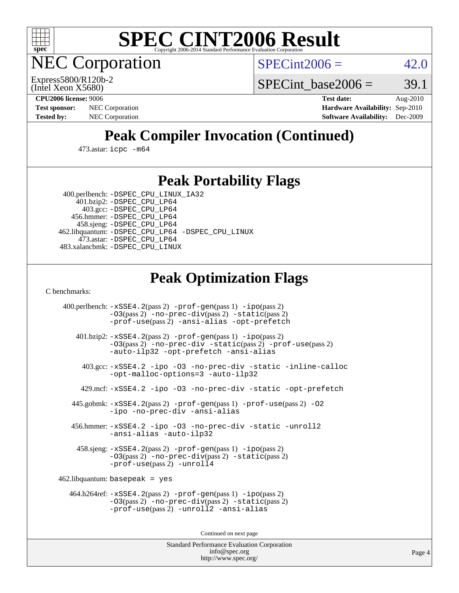

**EC Corporation** 

 $SPECint2006 = 42.0$  $SPECint2006 = 42.0$ 

(Intel Xeon X5680) Express5800/R120b-2 SPECint base2006 =  $39.1$ 

**[CPU2006 license:](http://www.spec.org/auto/cpu2006/Docs/result-fields.html#CPU2006license)** 9006 **[Test date:](http://www.spec.org/auto/cpu2006/Docs/result-fields.html#Testdate)** Aug-2010 **[Test sponsor:](http://www.spec.org/auto/cpu2006/Docs/result-fields.html#Testsponsor)** NEC Corporation **NEC Corporation [Hardware Availability:](http://www.spec.org/auto/cpu2006/Docs/result-fields.html#HardwareAvailability)** Sep-2010 **[Tested by:](http://www.spec.org/auto/cpu2006/Docs/result-fields.html#Testedby)** NEC Corporation **[Software Availability:](http://www.spec.org/auto/cpu2006/Docs/result-fields.html#SoftwareAvailability)** Dec-2009

# **[Peak Compiler Invocation \(Continued\)](http://www.spec.org/auto/cpu2006/Docs/result-fields.html#PeakCompilerInvocation)**

473.astar: [icpc -m64](http://www.spec.org/cpu2006/results/res2010q3/cpu2006-20100910-13168.flags.html#user_peakCXXLD473_astar_intel_icpc_64bit_fc66a5337ce925472a5c54ad6a0de310)

### **[Peak Portability Flags](http://www.spec.org/auto/cpu2006/Docs/result-fields.html#PeakPortabilityFlags)**

 400.perlbench: [-DSPEC\\_CPU\\_LINUX\\_IA32](http://www.spec.org/cpu2006/results/res2010q3/cpu2006-20100910-13168.flags.html#b400.perlbench_peakCPORTABILITY_DSPEC_CPU_LINUX_IA32) 401.bzip2: [-DSPEC\\_CPU\\_LP64](http://www.spec.org/cpu2006/results/res2010q3/cpu2006-20100910-13168.flags.html#suite_peakPORTABILITY401_bzip2_DSPEC_CPU_LP64)

 403.gcc: [-DSPEC\\_CPU\\_LP64](http://www.spec.org/cpu2006/results/res2010q3/cpu2006-20100910-13168.flags.html#suite_peakPORTABILITY403_gcc_DSPEC_CPU_LP64) 456.hmmer: [-DSPEC\\_CPU\\_LP64](http://www.spec.org/cpu2006/results/res2010q3/cpu2006-20100910-13168.flags.html#suite_peakPORTABILITY456_hmmer_DSPEC_CPU_LP64) 458.sjeng: [-DSPEC\\_CPU\\_LP64](http://www.spec.org/cpu2006/results/res2010q3/cpu2006-20100910-13168.flags.html#suite_peakPORTABILITY458_sjeng_DSPEC_CPU_LP64) 462.libquantum: [-DSPEC\\_CPU\\_LP64](http://www.spec.org/cpu2006/results/res2010q3/cpu2006-20100910-13168.flags.html#suite_peakPORTABILITY462_libquantum_DSPEC_CPU_LP64) [-DSPEC\\_CPU\\_LINUX](http://www.spec.org/cpu2006/results/res2010q3/cpu2006-20100910-13168.flags.html#b462.libquantum_peakCPORTABILITY_DSPEC_CPU_LINUX) 473.astar: [-DSPEC\\_CPU\\_LP64](http://www.spec.org/cpu2006/results/res2010q3/cpu2006-20100910-13168.flags.html#suite_peakPORTABILITY473_astar_DSPEC_CPU_LP64) 483.xalancbmk: [-DSPEC\\_CPU\\_LINUX](http://www.spec.org/cpu2006/results/res2010q3/cpu2006-20100910-13168.flags.html#b483.xalancbmk_peakCXXPORTABILITY_DSPEC_CPU_LINUX)

# **[Peak Optimization Flags](http://www.spec.org/auto/cpu2006/Docs/result-fields.html#PeakOptimizationFlags)**

[C benchmarks](http://www.spec.org/auto/cpu2006/Docs/result-fields.html#Cbenchmarks):

 400.perlbench: [-xSSE4.2](http://www.spec.org/cpu2006/results/res2010q3/cpu2006-20100910-13168.flags.html#user_peakPASS2_CFLAGSPASS2_LDCFLAGS400_perlbench_f-xSSE42_f91528193cf0b216347adb8b939d4107)(pass 2) [-prof-gen](http://www.spec.org/cpu2006/results/res2010q3/cpu2006-20100910-13168.flags.html#user_peakPASS1_CFLAGSPASS1_LDCFLAGS400_perlbench_prof_gen_e43856698f6ca7b7e442dfd80e94a8fc)(pass 1) [-ipo](http://www.spec.org/cpu2006/results/res2010q3/cpu2006-20100910-13168.flags.html#user_peakPASS2_CFLAGSPASS2_LDCFLAGS400_perlbench_f-ipo)(pass 2) [-O3](http://www.spec.org/cpu2006/results/res2010q3/cpu2006-20100910-13168.flags.html#user_peakPASS2_CFLAGSPASS2_LDCFLAGS400_perlbench_f-O3)(pass 2) [-no-prec-div](http://www.spec.org/cpu2006/results/res2010q3/cpu2006-20100910-13168.flags.html#user_peakPASS2_CFLAGSPASS2_LDCFLAGS400_perlbench_f-no-prec-div)(pass 2) [-static](http://www.spec.org/cpu2006/results/res2010q3/cpu2006-20100910-13168.flags.html#user_peakPASS2_CFLAGSPASS2_LDCFLAGS400_perlbench_f-static)(pass 2) [-prof-use](http://www.spec.org/cpu2006/results/res2010q3/cpu2006-20100910-13168.flags.html#user_peakPASS2_CFLAGSPASS2_LDCFLAGS400_perlbench_prof_use_bccf7792157ff70d64e32fe3e1250b55)(pass 2) [-ansi-alias](http://www.spec.org/cpu2006/results/res2010q3/cpu2006-20100910-13168.flags.html#user_peakCOPTIMIZE400_perlbench_f-ansi-alias) [-opt-prefetch](http://www.spec.org/cpu2006/results/res2010q3/cpu2006-20100910-13168.flags.html#user_peakCOPTIMIZE400_perlbench_f-opt-prefetch) 401.bzip2: [-xSSE4.2](http://www.spec.org/cpu2006/results/res2010q3/cpu2006-20100910-13168.flags.html#user_peakPASS2_CFLAGSPASS2_LDCFLAGS401_bzip2_f-xSSE42_f91528193cf0b216347adb8b939d4107)(pass 2) [-prof-gen](http://www.spec.org/cpu2006/results/res2010q3/cpu2006-20100910-13168.flags.html#user_peakPASS1_CFLAGSPASS1_LDCFLAGS401_bzip2_prof_gen_e43856698f6ca7b7e442dfd80e94a8fc)(pass 1) [-ipo](http://www.spec.org/cpu2006/results/res2010q3/cpu2006-20100910-13168.flags.html#user_peakPASS2_CFLAGSPASS2_LDCFLAGS401_bzip2_f-ipo)(pass 2) [-O3](http://www.spec.org/cpu2006/results/res2010q3/cpu2006-20100910-13168.flags.html#user_peakPASS2_CFLAGSPASS2_LDCFLAGS401_bzip2_f-O3)(pass 2) [-no-prec-div](http://www.spec.org/cpu2006/results/res2010q3/cpu2006-20100910-13168.flags.html#user_peakCOPTIMIZEPASS2_CFLAGSPASS2_LDCFLAGS401_bzip2_f-no-prec-div) [-static](http://www.spec.org/cpu2006/results/res2010q3/cpu2006-20100910-13168.flags.html#user_peakPASS2_CFLAGSPASS2_LDCFLAGS401_bzip2_f-static)(pass 2) [-prof-use](http://www.spec.org/cpu2006/results/res2010q3/cpu2006-20100910-13168.flags.html#user_peakPASS2_CFLAGSPASS2_LDCFLAGS401_bzip2_prof_use_bccf7792157ff70d64e32fe3e1250b55)(pass 2) [-auto-ilp32](http://www.spec.org/cpu2006/results/res2010q3/cpu2006-20100910-13168.flags.html#user_peakCOPTIMIZE401_bzip2_f-auto-ilp32) [-opt-prefetch](http://www.spec.org/cpu2006/results/res2010q3/cpu2006-20100910-13168.flags.html#user_peakCOPTIMIZE401_bzip2_f-opt-prefetch) [-ansi-alias](http://www.spec.org/cpu2006/results/res2010q3/cpu2006-20100910-13168.flags.html#user_peakCOPTIMIZE401_bzip2_f-ansi-alias) 403.gcc: [-xSSE4.2](http://www.spec.org/cpu2006/results/res2010q3/cpu2006-20100910-13168.flags.html#user_peakCOPTIMIZE403_gcc_f-xSSE42_f91528193cf0b216347adb8b939d4107) [-ipo](http://www.spec.org/cpu2006/results/res2010q3/cpu2006-20100910-13168.flags.html#user_peakCOPTIMIZE403_gcc_f-ipo) [-O3](http://www.spec.org/cpu2006/results/res2010q3/cpu2006-20100910-13168.flags.html#user_peakCOPTIMIZE403_gcc_f-O3) [-no-prec-div](http://www.spec.org/cpu2006/results/res2010q3/cpu2006-20100910-13168.flags.html#user_peakCOPTIMIZE403_gcc_f-no-prec-div) [-static](http://www.spec.org/cpu2006/results/res2010q3/cpu2006-20100910-13168.flags.html#user_peakCOPTIMIZE403_gcc_f-static) [-inline-calloc](http://www.spec.org/cpu2006/results/res2010q3/cpu2006-20100910-13168.flags.html#user_peakCOPTIMIZE403_gcc_f-inline-calloc) [-opt-malloc-options=3](http://www.spec.org/cpu2006/results/res2010q3/cpu2006-20100910-13168.flags.html#user_peakCOPTIMIZE403_gcc_f-opt-malloc-options_13ab9b803cf986b4ee62f0a5998c2238) [-auto-ilp32](http://www.spec.org/cpu2006/results/res2010q3/cpu2006-20100910-13168.flags.html#user_peakCOPTIMIZE403_gcc_f-auto-ilp32) 429.mcf: [-xSSE4.2](http://www.spec.org/cpu2006/results/res2010q3/cpu2006-20100910-13168.flags.html#user_peakCOPTIMIZE429_mcf_f-xSSE42_f91528193cf0b216347adb8b939d4107) [-ipo](http://www.spec.org/cpu2006/results/res2010q3/cpu2006-20100910-13168.flags.html#user_peakCOPTIMIZE429_mcf_f-ipo) [-O3](http://www.spec.org/cpu2006/results/res2010q3/cpu2006-20100910-13168.flags.html#user_peakCOPTIMIZE429_mcf_f-O3) [-no-prec-div](http://www.spec.org/cpu2006/results/res2010q3/cpu2006-20100910-13168.flags.html#user_peakCOPTIMIZE429_mcf_f-no-prec-div) [-static](http://www.spec.org/cpu2006/results/res2010q3/cpu2006-20100910-13168.flags.html#user_peakCOPTIMIZE429_mcf_f-static) [-opt-prefetch](http://www.spec.org/cpu2006/results/res2010q3/cpu2006-20100910-13168.flags.html#user_peakCOPTIMIZE429_mcf_f-opt-prefetch) 445.gobmk: [-xSSE4.2](http://www.spec.org/cpu2006/results/res2010q3/cpu2006-20100910-13168.flags.html#user_peakPASS2_CFLAGSPASS2_LDCFLAGS445_gobmk_f-xSSE42_f91528193cf0b216347adb8b939d4107)(pass 2) [-prof-gen](http://www.spec.org/cpu2006/results/res2010q3/cpu2006-20100910-13168.flags.html#user_peakPASS1_CFLAGSPASS1_LDCFLAGS445_gobmk_prof_gen_e43856698f6ca7b7e442dfd80e94a8fc)(pass 1) [-prof-use](http://www.spec.org/cpu2006/results/res2010q3/cpu2006-20100910-13168.flags.html#user_peakPASS2_CFLAGSPASS2_LDCFLAGS445_gobmk_prof_use_bccf7792157ff70d64e32fe3e1250b55)(pass 2) [-O2](http://www.spec.org/cpu2006/results/res2010q3/cpu2006-20100910-13168.flags.html#user_peakCOPTIMIZE445_gobmk_f-O2) [-ipo](http://www.spec.org/cpu2006/results/res2010q3/cpu2006-20100910-13168.flags.html#user_peakCOPTIMIZE445_gobmk_f-ipo) [-no-prec-div](http://www.spec.org/cpu2006/results/res2010q3/cpu2006-20100910-13168.flags.html#user_peakCOPTIMIZE445_gobmk_f-no-prec-div) [-ansi-alias](http://www.spec.org/cpu2006/results/res2010q3/cpu2006-20100910-13168.flags.html#user_peakCOPTIMIZE445_gobmk_f-ansi-alias) 456.hmmer: [-xSSE4.2](http://www.spec.org/cpu2006/results/res2010q3/cpu2006-20100910-13168.flags.html#user_peakCOPTIMIZE456_hmmer_f-xSSE42_f91528193cf0b216347adb8b939d4107) [-ipo](http://www.spec.org/cpu2006/results/res2010q3/cpu2006-20100910-13168.flags.html#user_peakCOPTIMIZE456_hmmer_f-ipo) [-O3](http://www.spec.org/cpu2006/results/res2010q3/cpu2006-20100910-13168.flags.html#user_peakCOPTIMIZE456_hmmer_f-O3) [-no-prec-div](http://www.spec.org/cpu2006/results/res2010q3/cpu2006-20100910-13168.flags.html#user_peakCOPTIMIZE456_hmmer_f-no-prec-div) [-static](http://www.spec.org/cpu2006/results/res2010q3/cpu2006-20100910-13168.flags.html#user_peakCOPTIMIZE456_hmmer_f-static) [-unroll2](http://www.spec.org/cpu2006/results/res2010q3/cpu2006-20100910-13168.flags.html#user_peakCOPTIMIZE456_hmmer_f-unroll_784dae83bebfb236979b41d2422d7ec2) [-ansi-alias](http://www.spec.org/cpu2006/results/res2010q3/cpu2006-20100910-13168.flags.html#user_peakCOPTIMIZE456_hmmer_f-ansi-alias) [-auto-ilp32](http://www.spec.org/cpu2006/results/res2010q3/cpu2006-20100910-13168.flags.html#user_peakCOPTIMIZE456_hmmer_f-auto-ilp32) 458.sjeng: [-xSSE4.2](http://www.spec.org/cpu2006/results/res2010q3/cpu2006-20100910-13168.flags.html#user_peakPASS2_CFLAGSPASS2_LDCFLAGS458_sjeng_f-xSSE42_f91528193cf0b216347adb8b939d4107)(pass 2) [-prof-gen](http://www.spec.org/cpu2006/results/res2010q3/cpu2006-20100910-13168.flags.html#user_peakPASS1_CFLAGSPASS1_LDCFLAGS458_sjeng_prof_gen_e43856698f6ca7b7e442dfd80e94a8fc)(pass 1) [-ipo](http://www.spec.org/cpu2006/results/res2010q3/cpu2006-20100910-13168.flags.html#user_peakPASS2_CFLAGSPASS2_LDCFLAGS458_sjeng_f-ipo)(pass 2) [-O3](http://www.spec.org/cpu2006/results/res2010q3/cpu2006-20100910-13168.flags.html#user_peakPASS2_CFLAGSPASS2_LDCFLAGS458_sjeng_f-O3)(pass 2) [-no-prec-div](http://www.spec.org/cpu2006/results/res2010q3/cpu2006-20100910-13168.flags.html#user_peakPASS2_CFLAGSPASS2_LDCFLAGS458_sjeng_f-no-prec-div)(pass 2) [-static](http://www.spec.org/cpu2006/results/res2010q3/cpu2006-20100910-13168.flags.html#user_peakPASS2_CFLAGSPASS2_LDCFLAGS458_sjeng_f-static)(pass 2) [-prof-use](http://www.spec.org/cpu2006/results/res2010q3/cpu2006-20100910-13168.flags.html#user_peakPASS2_CFLAGSPASS2_LDCFLAGS458_sjeng_prof_use_bccf7792157ff70d64e32fe3e1250b55)(pass 2) [-unroll4](http://www.spec.org/cpu2006/results/res2010q3/cpu2006-20100910-13168.flags.html#user_peakCOPTIMIZE458_sjeng_f-unroll_4e5e4ed65b7fd20bdcd365bec371b81f) 462.libquantum: basepeak = yes 464.h264ref: [-xSSE4.2](http://www.spec.org/cpu2006/results/res2010q3/cpu2006-20100910-13168.flags.html#user_peakPASS2_CFLAGSPASS2_LDCFLAGS464_h264ref_f-xSSE42_f91528193cf0b216347adb8b939d4107)(pass 2) [-prof-gen](http://www.spec.org/cpu2006/results/res2010q3/cpu2006-20100910-13168.flags.html#user_peakPASS1_CFLAGSPASS1_LDCFLAGS464_h264ref_prof_gen_e43856698f6ca7b7e442dfd80e94a8fc)(pass 1) [-ipo](http://www.spec.org/cpu2006/results/res2010q3/cpu2006-20100910-13168.flags.html#user_peakPASS2_CFLAGSPASS2_LDCFLAGS464_h264ref_f-ipo)(pass 2) [-O3](http://www.spec.org/cpu2006/results/res2010q3/cpu2006-20100910-13168.flags.html#user_peakPASS2_CFLAGSPASS2_LDCFLAGS464_h264ref_f-O3)(pass 2) [-no-prec-div](http://www.spec.org/cpu2006/results/res2010q3/cpu2006-20100910-13168.flags.html#user_peakPASS2_CFLAGSPASS2_LDCFLAGS464_h264ref_f-no-prec-div)(pass 2) [-static](http://www.spec.org/cpu2006/results/res2010q3/cpu2006-20100910-13168.flags.html#user_peakPASS2_CFLAGSPASS2_LDCFLAGS464_h264ref_f-static)(pass 2) [-prof-use](http://www.spec.org/cpu2006/results/res2010q3/cpu2006-20100910-13168.flags.html#user_peakPASS2_CFLAGSPASS2_LDCFLAGS464_h264ref_prof_use_bccf7792157ff70d64e32fe3e1250b55)(pass 2) [-unroll2](http://www.spec.org/cpu2006/results/res2010q3/cpu2006-20100910-13168.flags.html#user_peakCOPTIMIZE464_h264ref_f-unroll_784dae83bebfb236979b41d2422d7ec2) [-ansi-alias](http://www.spec.org/cpu2006/results/res2010q3/cpu2006-20100910-13168.flags.html#user_peakCOPTIMIZE464_h264ref_f-ansi-alias)

Continued on next page